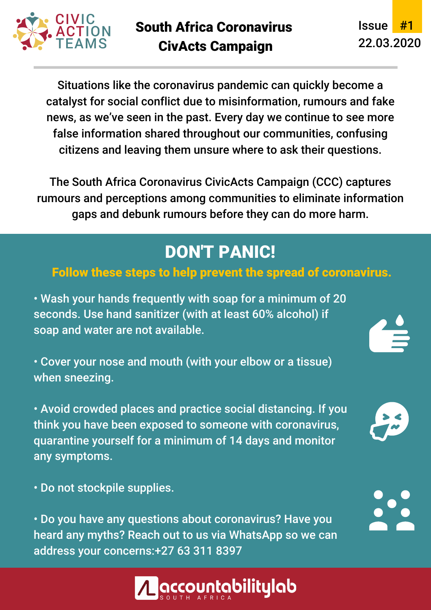

Issue #1 22.03.2020

Situations like the coronavirus pandemic can quickly become a catalyst for social conflict due to misinformation, rumours and fake news, as we've seen in the past. Every day we continue to see more false information shared throughout our communities, confusing citizens and leaving them unsure where to ask their questions.

The South Africa Coronavirus CivicActs Campaign (CCC) captures rumours and perceptions among communities to eliminate information gaps and debunk rumours before they can do more harm.

## DON'T PANIC!

#### Follow these steps to help prevent the spread of coronavirus.

• Wash your hands frequently with soap for a minimum of 20 seconds. Use hand sanitizer (with at least 60% alcohol) if soap and water are not available.

• Cover your nose and mouth (with your elbow or a tissue) when sneezing.

• Avoid crowded places and practice social distancing. If you think you have been exposed to someone with coronavirus, quarantine yourself for a minimum of 14 days and monitor any symptoms.

• Do not stockpile supplies.

• Do you have any questions about coronavirus? Have you heard any myths? Reach out to us via WhatsApp so we can address your concerns:+27 63 311 8397





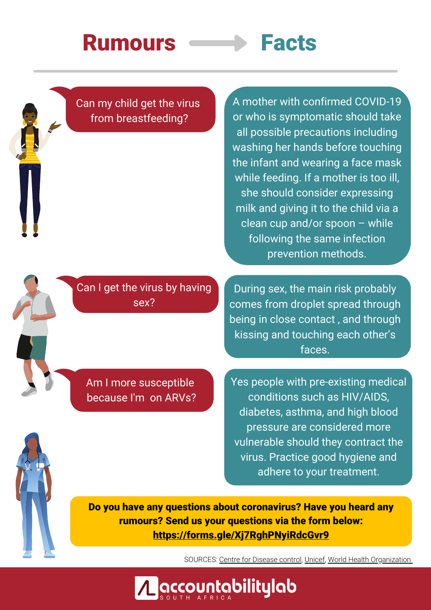# Rumours **Facts**

Can my child get the virus from breastfeeding?

A mother with confirmed COVID-19 or who is symptomatic should take all possible precautions including washing her hands before touching the infant and wearing a face mask while feeding. If a mother is too ill, she should consider expressing milk and giving it to the child via a clean cup and/or spoon – while following the same infection prevention methods.

Can I get the virus by having sex?

During sex, the main risk probably comes from droplet spread through being in close contact , and through kissing and touching each other's faces.

Am I more susceptible because I'm on ARVs? Yes people with pre-existing medical conditions such as HIV/AIDS, diabetes, asthma, and high blood pressure are considered more vulnerable should they contract the virus. Practice good hygiene and adhere to your treatment.

Do you have any questions about coronavirus? Have you heard any rumours? Send us your questions via the form below: <https://forms.gle/Xj7RghPNyiRdcGvr9>

SOURCES: Centre for [Disease](https://www.cdc.gov/breastfeeding/breastfeeding-special-circumstances/maternal-or-infant-illnesses/covid-19-and-breastfeeding.html) control, [Unicef](https://www.unicef.org/stories/novel-coronavirus-outbreak-what-parents-should-know), World Health [Organization](https://www.who.int/news-room/q-a-detail/q-a-coronaviruses)



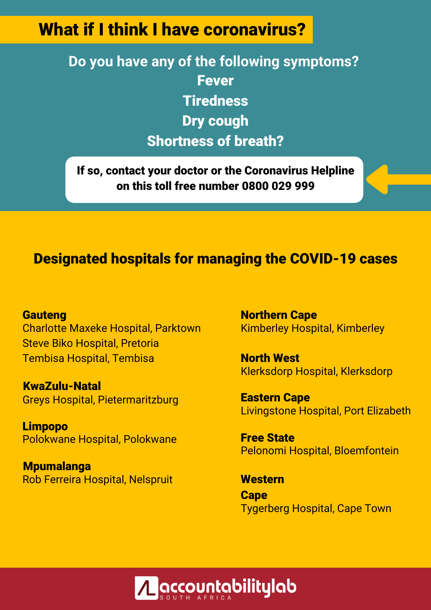## What if I think I have coronavirus?

**Do you have any of the following symptoms?** Fever **Tiredness** Dry cough Shortness of breath?

If so, contact your doctor or the Coronavirus Helpline on this toll free number 0800 029 999

#### Designated hospitals for managing the COVID-19 cases

**Gauteng** Charlotte Maxeke Hospital, Parktown Steve Biko Hospital, Pretoria Tembisa Hospital, Tembisa

KwaZulu-Natal Greys Hospital, Pietermaritzburg

Limpopo Polokwane Hospital, Polokwane

Mpumalanga Rob Ferreira Hospital, Nelspruit Northern Cape Kimberley Hospital, Kimberley

North West Klerksdorp Hospital, Klerksdorp

Livingstone Hospital, Port Elizabeth Eastern Cape

Pelonomi Hospital, Bloemfontein Free State

Tygerberg Hospital, Cape Town **Western Cape**